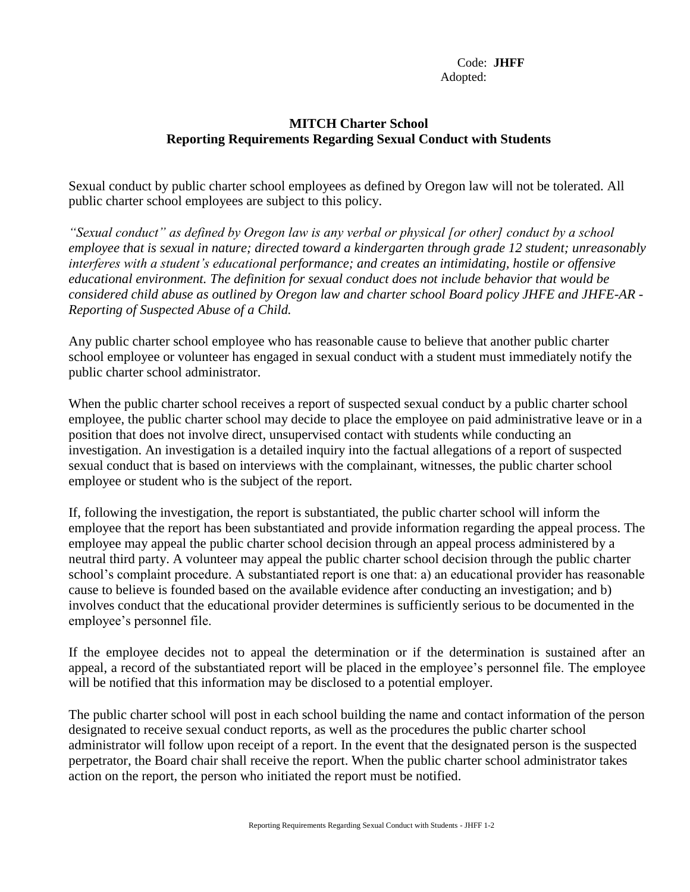Code: **JHFF** Adopted:

## **MITCH Charter School Reporting Requirements Regarding Sexual Conduct with Students**

Sexual conduct by public charter school employees as defined by Oregon law will not be tolerated. All public charter school employees are subject to this policy.

*"Sexual conduct" as defined by Oregon law is any verbal or physical [or other] conduct by a school employee that is sexual in nature; directed toward a kindergarten through grade 12 student; unreasonably interferes with a student's educational performance; and creates an intimidating, hostile or offensive educational environment. The definition for sexual conduct does not include behavior that would be considered child abuse as outlined by Oregon law and charter school Board policy JHFE and JHFE-AR - Reporting of Suspected Abuse of a Child.*

Any public charter school employee who has reasonable cause to believe that another public charter school employee or volunteer has engaged in sexual conduct with a student must immediately notify the public charter school administrator.

When the public charter school receives a report of suspected sexual conduct by a public charter school employee, the public charter school may decide to place the employee on paid administrative leave or in a position that does not involve direct, unsupervised contact with students while conducting an investigation. An investigation is a detailed inquiry into the factual allegations of a report of suspected sexual conduct that is based on interviews with the complainant, witnesses, the public charter school employee or student who is the subject of the report.

If, following the investigation, the report is substantiated, the public charter school will inform the employee that the report has been substantiated and provide information regarding the appeal process. The employee may appeal the public charter school decision through an appeal process administered by a neutral third party. A volunteer may appeal the public charter school decision through the public charter school's complaint procedure. A substantiated report is one that: a) an educational provider has reasonable cause to believe is founded based on the available evidence after conducting an investigation; and b) involves conduct that the educational provider determines is sufficiently serious to be documented in the employee's personnel file.

If the employee decides not to appeal the determination or if the determination is sustained after an appeal, a record of the substantiated report will be placed in the employee's personnel file. The employee will be notified that this information may be disclosed to a potential employer.

The public charter school will post in each school building the name and contact information of the person designated to receive sexual conduct reports, as well as the procedures the public charter school administrator will follow upon receipt of a report. In the event that the designated person is the suspected perpetrator, the Board chair shall receive the report. When the public charter school administrator takes action on the report, the person who initiated the report must be notified.